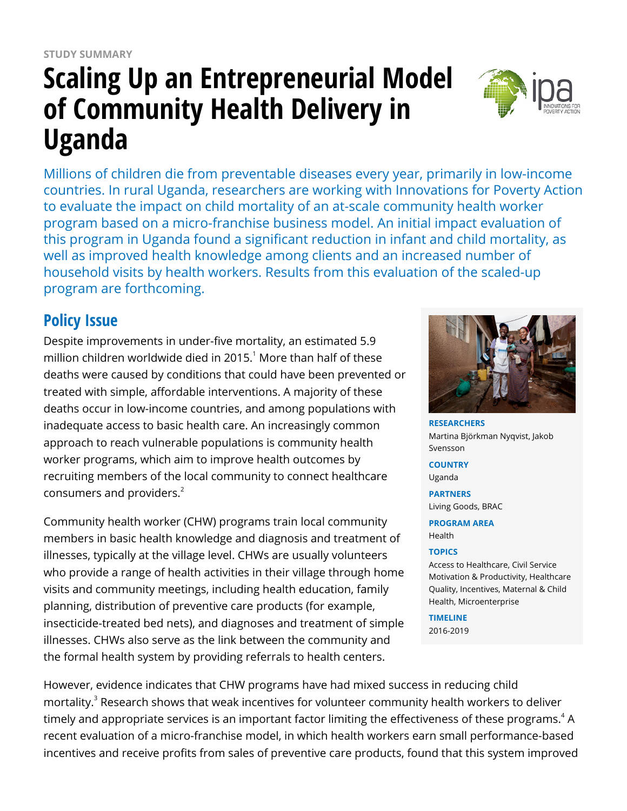# **Scaling Up an Entrepreneurial Model of Community Health Delivery in Uganda**

Millions of children die from preventable diseases every year, primarily in low-income countries. In rural Uganda, researchers are working with Innovations for Poverty Action to evaluate the impact on child mortality of an at-scale community health worker program based on a micro-franchise business model. An initial impact evaluation of this program in Uganda found a significant reduction in infant and child mortality, as well as improved health knowledge among clients and an increased number of household visits by health workers. Results from this evaluation of the scaled-up program are forthcoming.

# **Policy Issue**

Despite improvements in under-five mortality, an estimated 5.9 million children worldwide died in 2015. $^1$  More than half of these deaths were caused by conditions that could have been prevented or treated with simple, affordable interventions. A majority of these deaths occur in low-income countries, and among populations with inadequate access to basic health care. An increasingly common approach to reach vulnerable populations is community health worker programs, which aim to improve health outcomes by recruiting members of the local community to connect healthcare consumers and providers.<sup>2</sup>

Community health worker (CHW) programs train local community members in basic health knowledge and diagnosis and treatment of illnesses, typically at the village level. CHWs are usually volunteers who provide a range of health activities in their village through home visits and community meetings, including health education, family planning, distribution of preventive care products (for example, insecticide-treated bed nets), and diagnoses and treatment of simple illnesses. CHWs also serve as the link between the community and the formal health system by providing referrals to health centers.



**RESEARCHERS** Martina Björkman Nyqvist, Jakob Svensson **COUNTRY** Uganda

**PARTNERS** Living Goods, BRAC

**PROGRAM AREA** Health

#### **TOPICS**

Access to Healthcare, Civil Service Motivation & Productivity, Healthcare Quality, Incentives, Maternal & Child Health, Microenterprise

**TIMELINE** 2016-2019

However, evidence indicates that CHW programs have had mixed success in reducing child mortality.<sup>3</sup> Research shows that weak incentives for volunteer community health workers to deliver timely and appropriate services is an important factor limiting the effectiveness of these programs. $^4$  A recent evaluation of a micro-franchise model, in which health workers earn small performance-based incentives and receive profits from sales of preventive care products, found that this system improved

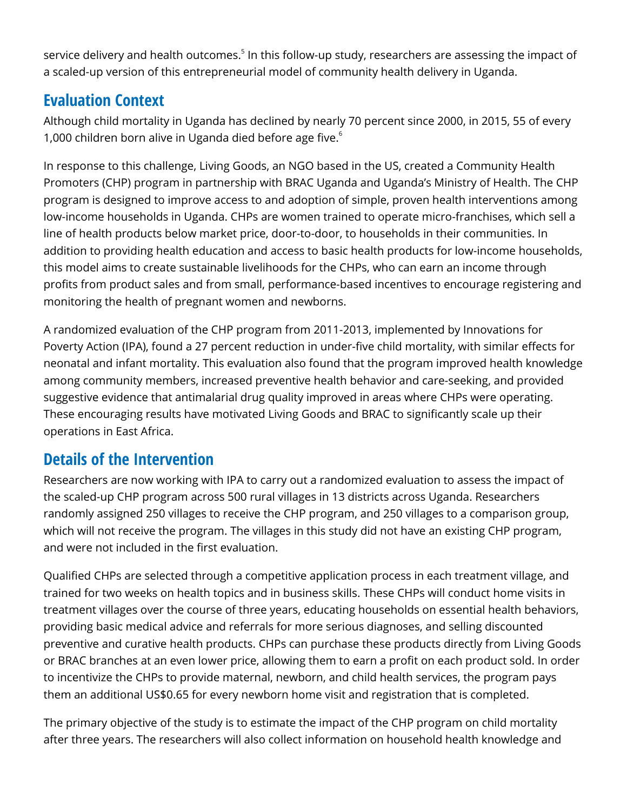service delivery and health outcomes.<sup>5</sup> In this follow-up study, researchers are assessing the impact of a scaled-up version of this entrepreneurial model of community health delivery in Uganda.

# **Evaluation Context**

Although child mortality in Uganda has declined by nearly 70 percent since 2000, in 2015, 55 of every 1,000 children born alive in Uganda died before age five.<sup>6</sup>

In response to this challenge, Living Goods, an NGO based in the US, created a Community Health Promoters (CHP) program in partnership with BRAC Uganda and Uganda's Ministry of Health. The CHP program is designed to improve access to and adoption of simple, proven health interventions among low-income households in Uganda. CHPs are women trained to operate micro-franchises, which sell a line of health products below market price, door-to-door, to households in their communities. In addition to providing health education and access to basic health products for low-income households, this model aims to create sustainable livelihoods for the CHPs, who can earn an income through profits from product sales and from small, performance-based incentives to encourage registering and monitoring the health of pregnant women and newborns.

A randomized evaluation of the CHP program from 2011-2013, implemented by Innovations for Poverty Action (IPA), found a 27 percent reduction in under-five child mortality, with similar effects for neonatal and infant mortality. This evaluation also found that the program improved health knowledge among community members, increased preventive health behavior and care-seeking, and provided suggestive evidence that antimalarial drug quality improved in areas where CHPs were operating. These encouraging results have motivated Living Goods and BRAC to significantly scale up their operations in East Africa.

## **Details of the Intervention**

Researchers are now working with IPA to carry out a randomized evaluation to assess the impact of the scaled-up CHP program across 500 rural villages in 13 districts across Uganda. Researchers randomly assigned 250 villages to receive the CHP program, and 250 villages to a comparison group, which will not receive the program. The villages in this study did not have an existing CHP program, and were not included in the first evaluation.

Qualified CHPs are selected through a competitive application process in each treatment village, and trained for two weeks on health topics and in business skills. These CHPs will conduct home visits in treatment villages over the course of three years, educating households on essential health behaviors, providing basic medical advice and referrals for more serious diagnoses, and selling discounted preventive and curative health products. CHPs can purchase these products directly from Living Goods or BRAC branches at an even lower price, allowing them to earn a profit on each product sold. In order to incentivize the CHPs to provide maternal, newborn, and child health services, the program pays them an additional US\$0.65 for every newborn home visit and registration that is completed.

The primary objective of the study is to estimate the impact of the CHP program on child mortality after three years. The researchers will also collect information on household health knowledge and